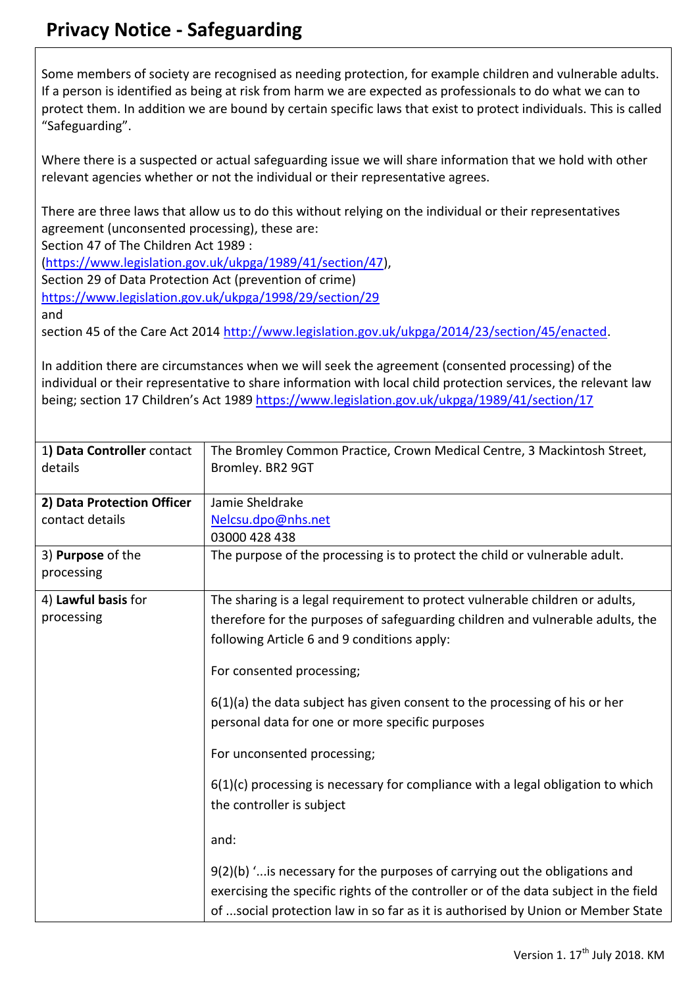## **Privacy Notice - Safeguarding**

Some members of society are recognised as needing protection, for example children and vulnerable adults. If a person is identified as being at risk from harm we are expected as professionals to do what we can to protect them. In addition we are bound by certain specific laws that exist to protect individuals. This is called "Safeguarding".

Where there is a suspected or actual safeguarding issue we will share information that we hold with other relevant agencies whether or not the individual or their representative agrees.

There are three laws that allow us to do this without relying on the individual or their representatives agreement (unconsented processing), these are:

Section 47 of The Children Act 1989 :

[\(https://www.legislation.gov.uk/ukpga/1989/41/section/47\)](https://www.legislation.gov.uk/ukpga/1989/41/section/47),

Section 29 of Data Protection Act (prevention of crime)

<https://www.legislation.gov.uk/ukpga/1998/29/section/29>

and

section 45 of the Care Act 2014 [http://www.legislation.gov.uk/ukpga/2014/23/section/45/enacted.](http://www.legislation.gov.uk/ukpga/2014/23/section/45/enacted)

In addition there are circumstances when we will seek the agreement (consented processing) of the individual or their representative to share information with local child protection services, the relevant law being; section 17 Children's Act 1989 <https://www.legislation.gov.uk/ukpga/1989/41/section/17>

| 1) Data Controller contact<br>details | The Bromley Common Practice, Crown Medical Centre, 3 Mackintosh Street,<br>Bromley. BR2 9GT                                                                                                                                                            |
|---------------------------------------|--------------------------------------------------------------------------------------------------------------------------------------------------------------------------------------------------------------------------------------------------------|
| 2) Data Protection Officer            | Jamie Sheldrake                                                                                                                                                                                                                                        |
| contact details                       | Nelcsu.dpo@nhs.net                                                                                                                                                                                                                                     |
|                                       | 03000 428 438                                                                                                                                                                                                                                          |
| 3) Purpose of the                     | The purpose of the processing is to protect the child or vulnerable adult.                                                                                                                                                                             |
| processing                            |                                                                                                                                                                                                                                                        |
| 4) Lawful basis for                   | The sharing is a legal requirement to protect vulnerable children or adults,                                                                                                                                                                           |
| processing                            | therefore for the purposes of safeguarding children and vulnerable adults, the                                                                                                                                                                         |
|                                       | following Article 6 and 9 conditions apply:                                                                                                                                                                                                            |
|                                       | For consented processing;                                                                                                                                                                                                                              |
|                                       | $6(1)(a)$ the data subject has given consent to the processing of his or her<br>personal data for one or more specific purposes                                                                                                                        |
|                                       | For unconsented processing;                                                                                                                                                                                                                            |
|                                       | $6(1)(c)$ processing is necessary for compliance with a legal obligation to which<br>the controller is subject                                                                                                                                         |
|                                       | and:                                                                                                                                                                                                                                                   |
|                                       | 9(2)(b) ' is necessary for the purposes of carrying out the obligations and<br>exercising the specific rights of the controller or of the data subject in the field<br>of social protection law in so far as it is authorised by Union or Member State |